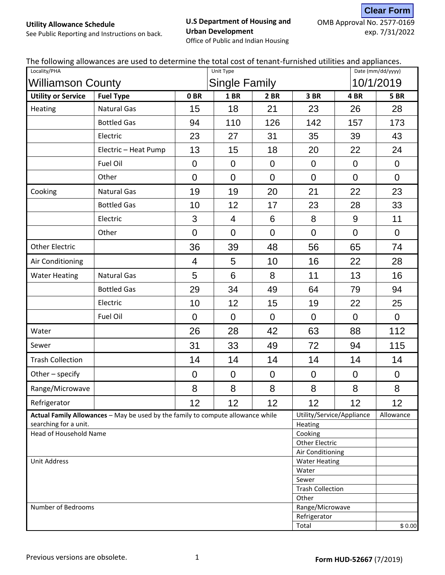#### **U.S Department of Housing and Urban Development** Office of Public and Indian Housing

OMB Approval No. 2577-0169 exp. 7/31/2022 **Clear Form**

See Public Reporting and Instructions on back.

The following allowances are used to determine the total cost of tenant-furnished utilities and appliances.

| <u>ں</u><br>Locality/PHA                               |                                                                                 |                | Unit Type                 |                         |                  | .<br>Date (mm/dd/yyyy)    |                |  |
|--------------------------------------------------------|---------------------------------------------------------------------------------|----------------|---------------------------|-------------------------|------------------|---------------------------|----------------|--|
| <b>Williamson County</b>                               |                                                                                 |                | <b>Single Family</b>      |                         |                  |                           | 10/1/2019      |  |
| <b>Utility or Service</b>                              | <b>Fuel Type</b>                                                                | 0BR            | <b>1 BR</b>               | 2 BR                    | 3BR              | 4BR                       | <b>5 BR</b>    |  |
| Heating                                                | <b>Natural Gas</b>                                                              | 15             | 18                        | 21                      | 23               | 26                        | 28             |  |
|                                                        | <b>Bottled Gas</b>                                                              | 94             | 110                       | 126                     | 142              | 157                       | 173            |  |
|                                                        | Electric                                                                        | 23             | 27                        | 31                      | 35               | 39                        | 43             |  |
|                                                        | Electric - Heat Pump                                                            | 13             | 15                        | 18                      | 20               | 22                        | 24             |  |
|                                                        | Fuel Oil                                                                        | $\overline{0}$ | $\overline{0}$            | $\mathbf 0$             | $\overline{0}$   | $\mathbf 0$               | $\overline{0}$ |  |
|                                                        | Other                                                                           | $\overline{0}$ | $\overline{0}$            | $\overline{0}$          | $\overline{0}$   | $\overline{0}$            | $\mathbf{0}$   |  |
| Cooking                                                | <b>Natural Gas</b>                                                              | 19             | 19                        | 20                      | 21               | 22                        | 23             |  |
|                                                        | <b>Bottled Gas</b>                                                              | 10             | 12                        | 17                      | 23               | 28                        | 33             |  |
|                                                        | Electric                                                                        | 3              | $\overline{4}$            | 6                       | 8                | 9                         | 11             |  |
|                                                        | Other                                                                           | $\overline{0}$ | $\mathbf 0$               | $\overline{0}$          | $\Omega$         | $\overline{0}$            | $\overline{0}$ |  |
| <b>Other Electric</b>                                  |                                                                                 | 36             | 39                        | 48                      | 56               | 65                        | 74             |  |
| Air Conditioning                                       |                                                                                 | 4              | 5                         | 10                      | 16               | 22                        | 28             |  |
| <b>Water Heating</b>                                   | <b>Natural Gas</b>                                                              | 5              | 6                         | 8                       | 11               | 13                        | 16             |  |
|                                                        | <b>Bottled Gas</b>                                                              | 29             | 34                        | 49                      | 64               | 79                        | 94             |  |
|                                                        | Electric                                                                        | 10             | 12                        | 15                      | 19               | 22                        | 25             |  |
|                                                        | Fuel Oil                                                                        | $\overline{0}$ | $\overline{0}$            | $\overline{0}$          | $\overline{0}$   | $\overline{0}$            | $\overline{0}$ |  |
| Water                                                  |                                                                                 | 26             | 28                        | 42                      | 63               | 88                        | 112            |  |
| Sewer                                                  |                                                                                 | 31             | 33                        | 49                      | 72               | 94                        | 115            |  |
| <b>Trash Collection</b>                                |                                                                                 | 14             | 14                        | 14                      | 14               | 14                        | 14             |  |
| Other - specify                                        |                                                                                 | $\mathbf 0$    | $\mathbf 0$               | $\mathbf 0$             | $\mathbf 0$      | $\mathbf 0$               | $\mathbf 0$    |  |
| Range/Microwave                                        |                                                                                 | 8              | 8                         | 8                       | 8                | 8                         | 8              |  |
| Refrigerator                                           |                                                                                 | 12             | 12                        | 12                      | 12               | 12                        | 12             |  |
|                                                        | Actual Family Allowances - May be used by the family to compute allowance while |                |                           |                         |                  | Utility/Service/Appliance | Allowance      |  |
| searching for a unit.<br><b>Head of Household Name</b> |                                                                                 |                |                           |                         | Heating          |                           |                |  |
|                                                        |                                                                                 |                | Cooking<br>Other Electric |                         |                  |                           |                |  |
|                                                        |                                                                                 |                |                           |                         | Air Conditioning |                           |                |  |
| <b>Unit Address</b>                                    |                                                                                 |                |                           | <b>Water Heating</b>    |                  |                           |                |  |
|                                                        |                                                                                 |                |                           |                         | Water            |                           |                |  |
|                                                        |                                                                                 |                |                           | Sewer                   |                  |                           |                |  |
|                                                        |                                                                                 |                |                           | <b>Trash Collection</b> |                  |                           |                |  |
|                                                        |                                                                                 |                |                           | Other                   |                  |                           |                |  |
| Number of Bedrooms                                     |                                                                                 |                |                           |                         | Range/Microwave  |                           |                |  |
|                                                        |                                                                                 |                |                           |                         | Refrigerator     |                           |                |  |
|                                                        |                                                                                 |                |                           |                         | Total            |                           | \$0.00         |  |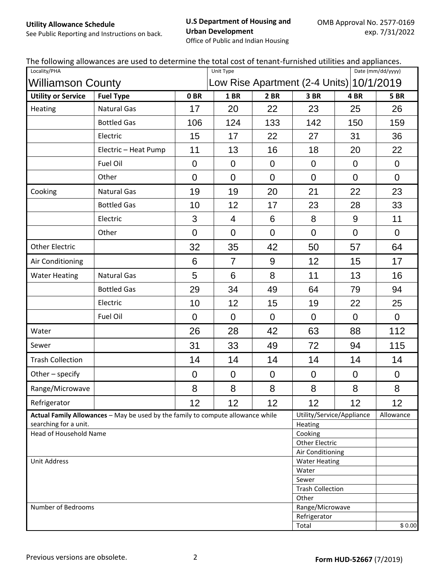#### **U.S Department of Housing and Urban Development**

See Public Reporting and Instructions on back.

Office of Public and Indian Housing

|  | The following allowances are used to determine the total cost of tenant-furnished utilities and appliances. |  |  |
|--|-------------------------------------------------------------------------------------------------------------|--|--|
|--|-------------------------------------------------------------------------------------------------------------|--|--|

| $5.00$ and $1.000$ and $1.000$ and $1.000$ and $1.000$ and $1.000$ and $1.000$ and $1.000$ and $1.000$ and $1.000$ and $1.000$ and $1.000$ and $1.000$ and $1.000$ and $1.000$ and $1.000$ and $1.000$ and $1.000$ and $1.000$<br>Locality/PHA |                                                                                 | 5.5511511511511511565<br>erdo arra appliarrodo.<br>Date (mm/dd/yyyy)<br>Unit Type |                                  |                |                                          |                           |                  |  |
|------------------------------------------------------------------------------------------------------------------------------------------------------------------------------------------------------------------------------------------------|---------------------------------------------------------------------------------|-----------------------------------------------------------------------------------|----------------------------------|----------------|------------------------------------------|---------------------------|------------------|--|
|                                                                                                                                                                                                                                                | <b>Williamson County</b>                                                        |                                                                                   |                                  |                | Low Rise Apartment (2-4 Units) 10/1/2019 |                           |                  |  |
| <b>Utility or Service</b>                                                                                                                                                                                                                      | <b>Fuel Type</b>                                                                | 0 <sub>BR</sub>                                                                   | <b>1 BR</b>                      | 2 BR           | 3BR                                      | 4BR                       | <b>5 BR</b>      |  |
| Heating                                                                                                                                                                                                                                        | <b>Natural Gas</b>                                                              | 17                                                                                | 20                               | 22             | 23                                       | 25                        | 26               |  |
|                                                                                                                                                                                                                                                | <b>Bottled Gas</b>                                                              | 106                                                                               | 124                              | 133            | 142                                      | 150                       | 159              |  |
|                                                                                                                                                                                                                                                | Electric                                                                        | 15                                                                                | 17                               | 22             | 27                                       | 31                        | 36               |  |
|                                                                                                                                                                                                                                                | Electric - Heat Pump                                                            | 11                                                                                | 13                               | 16             | 18                                       | 20                        | 22               |  |
|                                                                                                                                                                                                                                                | Fuel Oil                                                                        | $\overline{0}$                                                                    | $\overline{0}$                   | $\overline{0}$ | $\overline{0}$                           | $\mathbf 0$               | $\overline{0}$   |  |
|                                                                                                                                                                                                                                                | Other                                                                           | $\overline{0}$                                                                    | $\overline{0}$                   | $\Omega$       | $\overline{0}$                           | $\overline{0}$            | $\overline{0}$   |  |
| Cooking                                                                                                                                                                                                                                        | <b>Natural Gas</b>                                                              | 19                                                                                | 19                               | 20             | 21                                       | 22                        | 23               |  |
|                                                                                                                                                                                                                                                | <b>Bottled Gas</b>                                                              | 10                                                                                | 12                               | 17             | 23                                       | 28                        | 33               |  |
|                                                                                                                                                                                                                                                | Electric                                                                        | 3                                                                                 | 4                                | 6              | 8                                        | 9                         | 11               |  |
|                                                                                                                                                                                                                                                | Other                                                                           | $\overline{0}$                                                                    | $\overline{0}$                   | $\overline{0}$ | $\overline{0}$                           | $\overline{0}$            | $\overline{0}$   |  |
| <b>Other Electric</b>                                                                                                                                                                                                                          |                                                                                 | 32                                                                                | 35                               | 42             | 50                                       | 57                        | 64               |  |
| Air Conditioning                                                                                                                                                                                                                               |                                                                                 | 6                                                                                 | $\overline{7}$                   | 9              | 12                                       | 15                        | 17               |  |
| <b>Water Heating</b>                                                                                                                                                                                                                           | <b>Natural Gas</b>                                                              | 5                                                                                 | 6                                | 8              | 11                                       | 13                        | 16               |  |
|                                                                                                                                                                                                                                                | <b>Bottled Gas</b>                                                              | 29                                                                                | 34                               | 49             | 64                                       | 79                        | 94               |  |
|                                                                                                                                                                                                                                                | Electric                                                                        | 10                                                                                | 12                               | 15             | 19                                       | 22                        | 25               |  |
|                                                                                                                                                                                                                                                | Fuel Oil                                                                        | $\overline{0}$                                                                    | $\mathbf 0$                      | $\overline{0}$ | $\overline{0}$                           | $\overline{0}$            | $\overline{0}$   |  |
| Water                                                                                                                                                                                                                                          |                                                                                 | 26                                                                                | 28                               | 42             | 63                                       | 88                        | 112              |  |
| Sewer                                                                                                                                                                                                                                          |                                                                                 | 31                                                                                | 33                               | 49             | 72                                       | 94                        | 115              |  |
| <b>Trash Collection</b>                                                                                                                                                                                                                        |                                                                                 | 14                                                                                | 14                               | 14             | 14                                       | 14                        | 14               |  |
| Other - specify                                                                                                                                                                                                                                |                                                                                 | $\boldsymbol{0}$                                                                  | $\boldsymbol{0}$                 | $\pmb{0}$      | $\boldsymbol{0}$                         | $\boldsymbol{0}$          | $\boldsymbol{0}$ |  |
| Range/Microwave                                                                                                                                                                                                                                |                                                                                 | 8                                                                                 | 8                                | 8              | 8                                        | 8                         | 8                |  |
| Refrigerator                                                                                                                                                                                                                                   |                                                                                 | 12                                                                                | 12                               | 12             | 12                                       | 12                        | 12               |  |
|                                                                                                                                                                                                                                                | Actual Family Allowances - May be used by the family to compute allowance while |                                                                                   |                                  |                |                                          | Utility/Service/Appliance | Allowance        |  |
| searching for a unit.<br>Head of Household Name                                                                                                                                                                                                |                                                                                 |                                                                                   |                                  |                | Heating                                  |                           |                  |  |
|                                                                                                                                                                                                                                                |                                                                                 |                                                                                   | Cooking<br><b>Other Electric</b> |                |                                          |                           |                  |  |
|                                                                                                                                                                                                                                                |                                                                                 |                                                                                   |                                  |                | Air Conditioning                         |                           |                  |  |
| <b>Unit Address</b>                                                                                                                                                                                                                            |                                                                                 |                                                                                   |                                  |                | <b>Water Heating</b>                     |                           |                  |  |
|                                                                                                                                                                                                                                                |                                                                                 |                                                                                   |                                  |                | Water                                    |                           |                  |  |
|                                                                                                                                                                                                                                                |                                                                                 |                                                                                   |                                  | Sewer          |                                          |                           |                  |  |
|                                                                                                                                                                                                                                                |                                                                                 |                                                                                   |                                  |                | <b>Trash Collection</b>                  |                           |                  |  |
| Other                                                                                                                                                                                                                                          |                                                                                 |                                                                                   |                                  |                |                                          |                           |                  |  |
| Number of Bedrooms                                                                                                                                                                                                                             |                                                                                 |                                                                                   |                                  |                | Range/Microwave<br>Refrigerator          |                           |                  |  |
|                                                                                                                                                                                                                                                |                                                                                 |                                                                                   |                                  |                | Total                                    |                           | \$0.00           |  |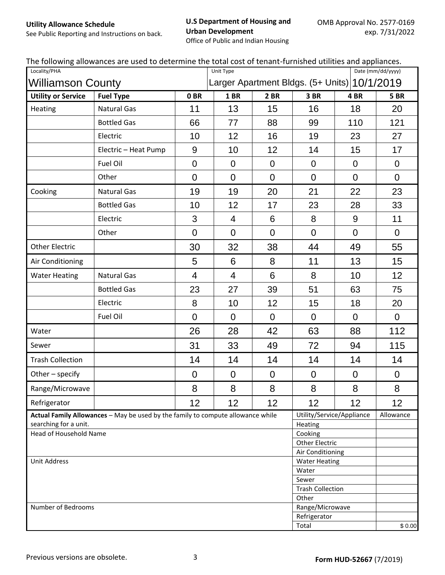#### **U.S Department of Housing and Urban Development**

See Public Reporting and Instructions on back.

Office of Public and Indian Housing

|  | The following allowances are used to determine the total cost of tenant-furnished utilities and appliances. |  |  |
|--|-------------------------------------------------------------------------------------------------------------|--|--|
|--|-------------------------------------------------------------------------------------------------------------|--|--|

| $\frac{1}{2}$ and the most division and distribution<br>Locality/PHA |                                                                                 | .<br>Date (mm/dd/yyyy)<br>Unit Type |                  |                                  |                                              |                           |                  |
|----------------------------------------------------------------------|---------------------------------------------------------------------------------|-------------------------------------|------------------|----------------------------------|----------------------------------------------|---------------------------|------------------|
|                                                                      | <b>Williamson County</b>                                                        |                                     |                  |                                  | Larger Apartment Bldgs. (5+ Units) 10/1/2019 |                           |                  |
| <b>Utility or Service</b>                                            | <b>Fuel Type</b>                                                                | 0 <sub>BR</sub>                     | <b>1 BR</b>      | <b>2 BR</b>                      | 3BR                                          | 4BR                       | <b>5 BR</b>      |
| Heating                                                              | Natural Gas                                                                     | 11                                  | 13               | 15                               | 16                                           | 18                        | 20               |
|                                                                      | <b>Bottled Gas</b>                                                              | 66                                  | 77               | 88                               | 99                                           | 110                       | 121              |
|                                                                      | Electric                                                                        | 10                                  | 12               | 16                               | 19                                           | 23                        | 27               |
|                                                                      | Electric - Heat Pump                                                            | 9                                   | 10               | 12                               | 14                                           | 15                        | 17               |
|                                                                      | Fuel Oil                                                                        | $\mathbf 0$                         | $\overline{0}$   | $\overline{0}$                   | $\overline{0}$                               | $\mathbf 0$               | $\mathbf 0$      |
|                                                                      | Other                                                                           | $\overline{0}$                      | $\overline{0}$   | $\overline{0}$                   | $\overline{0}$                               | $\overline{0}$            | $\overline{0}$   |
| Cooking                                                              | Natural Gas                                                                     | 19                                  | 19               | 20                               | 21                                           | 22                        | 23               |
|                                                                      | <b>Bottled Gas</b>                                                              | 10                                  | 12               | 17                               | 23                                           | 28                        | 33               |
|                                                                      | Electric                                                                        | 3                                   | 4                | 6                                | 8                                            | 9                         | 11               |
|                                                                      | Other                                                                           | $\overline{0}$                      | $\overline{0}$   | $\overline{0}$                   | $\overline{0}$                               | $\overline{0}$            | $\overline{0}$   |
| <b>Other Electric</b>                                                |                                                                                 | 30                                  | 32               | 38                               | 44                                           | 49                        | 55               |
| Air Conditioning                                                     |                                                                                 | 5                                   | 6                | 8                                | 11                                           | 13                        | 15               |
| <b>Water Heating</b>                                                 | <b>Natural Gas</b>                                                              | 4                                   | $\overline{4}$   | 6                                | 8                                            | 10                        | 12               |
|                                                                      | <b>Bottled Gas</b>                                                              | 23                                  | 27               | 39                               | 51                                           | 63                        | 75               |
|                                                                      | Electric                                                                        | 8                                   | 10               | 12                               | 15                                           | 18                        | 20               |
|                                                                      | Fuel Oil                                                                        | $\overline{0}$                      | $\mathbf 0$      | $\overline{0}$                   | $\overline{0}$                               | $\overline{0}$            | $\overline{0}$   |
| Water                                                                |                                                                                 | 26                                  | 28               | 42                               | 63                                           | 88                        | 112              |
| Sewer                                                                |                                                                                 | 31                                  | 33               | 49                               | 72                                           | 94                        | 115              |
| <b>Trash Collection</b>                                              |                                                                                 | 14                                  | 14               | 14                               | 14                                           | 14                        | 14               |
| Other - specify                                                      |                                                                                 | $\boldsymbol{0}$                    | $\boldsymbol{0}$ | $\pmb{0}$                        | $\pmb{0}$                                    | $\mathbf 0$               | $\boldsymbol{0}$ |
| Range/Microwave                                                      |                                                                                 | 8                                   | 8                | 8                                | 8                                            | 8                         | 8                |
| Refrigerator                                                         |                                                                                 | 12                                  | 12               | 12                               | 12                                           | 12                        | 12               |
|                                                                      | Actual Family Allowances - May be used by the family to compute allowance while |                                     |                  |                                  |                                              | Utility/Service/Appliance | Allowance        |
| searching for a unit.<br>Head of Household Name                      |                                                                                 |                                     |                  |                                  | Heating<br>Cooking                           |                           |                  |
|                                                                      |                                                                                 |                                     |                  | <b>Other Electric</b>            |                                              |                           |                  |
|                                                                      |                                                                                 |                                     |                  |                                  | Air Conditioning                             |                           |                  |
| <b>Unit Address</b>                                                  |                                                                                 |                                     |                  | <b>Water Heating</b>             |                                              |                           |                  |
|                                                                      |                                                                                 |                                     |                  |                                  | Water                                        |                           |                  |
|                                                                      |                                                                                 |                                     |                  | Sewer<br><b>Trash Collection</b> |                                              |                           |                  |
|                                                                      |                                                                                 |                                     |                  |                                  | Other                                        |                           |                  |
| Number of Bedrooms                                                   |                                                                                 |                                     |                  |                                  | Range/Microwave                              |                           |                  |
|                                                                      |                                                                                 |                                     |                  |                                  | Refrigerator                                 |                           |                  |
|                                                                      |                                                                                 |                                     |                  |                                  | Total                                        |                           | \$0.00           |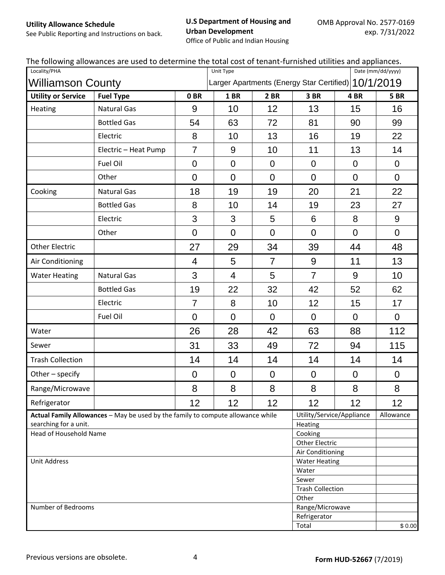#### **U.S Department of Housing and Urban Development**

See Public Reporting and Instructions on back.

Office of Public and Indian Housing

|  | The following allowances are used to determine the total cost of tenant-furnished utilities and appliances. |  |  |
|--|-------------------------------------------------------------------------------------------------------------|--|--|
|--|-------------------------------------------------------------------------------------------------------------|--|--|

| Locality/PHA              | The following allowances are asea to accertainte the total cost or tenant farmshed atlities and appliances. |                                                     | Unit Type                |                                                                   |                       |                           | Date (mm/dd/yyyy) |
|---------------------------|-------------------------------------------------------------------------------------------------------------|-----------------------------------------------------|--------------------------|-------------------------------------------------------------------|-----------------------|---------------------------|-------------------|
| <b>Williamson County</b>  |                                                                                                             | Larger Apartments (Energy Star Certified) 10/1/2019 |                          |                                                                   |                       |                           |                   |
| <b>Utility or Service</b> | <b>Fuel Type</b>                                                                                            | 0 <sub>BR</sub>                                     | <b>1 BR</b>              | 2 BR                                                              | 3 BR                  | 4BR                       | <b>5 BR</b>       |
| Heating                   | <b>Natural Gas</b>                                                                                          | 9                                                   | 10                       | 12                                                                | 13                    | 15                        | 16                |
|                           | <b>Bottled Gas</b>                                                                                          | 54                                                  | 63                       | 72                                                                | 81                    | 90                        | 99                |
|                           | Electric                                                                                                    | 8                                                   | 10                       | 13                                                                | 16                    | 19                        | 22                |
|                           | Electric - Heat Pump                                                                                        | $\overline{7}$                                      | 9                        | 10                                                                | 11                    | 13                        | 14                |
|                           | Fuel Oil                                                                                                    | $\mathbf 0$                                         | $\mathbf 0$              | $\overline{0}$                                                    | $\overline{0}$        | $\mathbf 0$               | $\overline{0}$    |
|                           | Other                                                                                                       | $\overline{0}$                                      | $\overline{0}$           | $\mathbf 0$                                                       | $\overline{0}$        | $\overline{0}$            | $\overline{0}$    |
| Cooking                   | <b>Natural Gas</b>                                                                                          | 18                                                  | 19                       | 19                                                                | 20                    | 21                        | 22                |
|                           | <b>Bottled Gas</b>                                                                                          | 8                                                   | 10                       | 14                                                                | 19                    | 23                        | 27                |
|                           | Electric                                                                                                    | 3                                                   | 3                        | 5                                                                 | $6\phantom{1}6$       | 8                         | $9\,$             |
|                           | Other                                                                                                       | $\overline{0}$                                      | $\overline{0}$           | $\Omega$                                                          | $\overline{0}$        | $\overline{0}$            | $\overline{0}$    |
| <b>Other Electric</b>     |                                                                                                             | 27                                                  | 29                       | 34                                                                | 39                    | 44                        | 48                |
| Air Conditioning          |                                                                                                             | 4                                                   | 5                        | $\overline{7}$                                                    | $9\,$                 | 11                        | 13                |
| <b>Water Heating</b>      | <b>Natural Gas</b>                                                                                          | 3                                                   | $\overline{\mathcal{A}}$ | 5                                                                 | $\overline{7}$        | 9                         | 10                |
|                           | <b>Bottled Gas</b>                                                                                          | 19                                                  | 22                       | 32                                                                | 42                    | 52                        | 62                |
|                           | Electric                                                                                                    | $\overline{7}$                                      | 8                        | 10                                                                | 12                    | 15                        | 17                |
|                           | Fuel Oil                                                                                                    | $\mathbf 0$                                         | $\overline{0}$           | $\overline{0}$                                                    | $\overline{0}$        | $\mathbf 0$               | $\mathbf 0$       |
| Water                     |                                                                                                             | 26                                                  | 28                       | 42                                                                | 63                    | 88                        | 112               |
| Sewer                     |                                                                                                             | 31                                                  | 33                       | 49                                                                | 72                    | 94                        | 115               |
| <b>Trash Collection</b>   |                                                                                                             | 14                                                  | 14                       | 14                                                                | 14                    | 14                        | 14                |
| Other - specify           |                                                                                                             | $\boldsymbol{0}$                                    | $\mathbf 0$              | $\mathbf 0$                                                       | $\mathbf 0$           | $\mathbf 0$               | $\mathbf 0$       |
| Range/Microwave           |                                                                                                             | 8                                                   | 8                        | 8                                                                 | 8                     | 8                         | 8                 |
| Refrigerator              |                                                                                                             | 12                                                  | 12                       | 12                                                                | 12                    | 12                        | 12                |
|                           | Actual Family Allowances - May be used by the family to compute allowance while                             |                                                     |                          |                                                                   |                       | Utility/Service/Appliance | Allowance         |
| searching for a unit.     |                                                                                                             |                                                     |                          |                                                                   | Heating               |                           |                   |
| Head of Household Name    |                                                                                                             |                                                     |                          |                                                                   | Cooking               |                           |                   |
|                           |                                                                                                             |                                                     |                          |                                                                   | <b>Other Electric</b> |                           |                   |
| <b>Unit Address</b>       |                                                                                                             |                                                     | Air Conditioning         |                                                                   |                       |                           |                   |
|                           |                                                                                                             |                                                     |                          | <b>Water Heating</b><br>Water<br>Sewer<br><b>Trash Collection</b> |                       |                           |                   |
|                           |                                                                                                             |                                                     |                          |                                                                   |                       |                           |                   |
|                           |                                                                                                             |                                                     |                          |                                                                   |                       |                           |                   |
|                           |                                                                                                             |                                                     |                          |                                                                   | Other                 |                           |                   |
| Number of Bedrooms        |                                                                                                             |                                                     |                          |                                                                   | Range/Microwave       |                           |                   |
|                           |                                                                                                             |                                                     |                          |                                                                   | Refrigerator          |                           |                   |
|                           |                                                                                                             |                                                     |                          |                                                                   | Total                 |                           | \$0.00            |